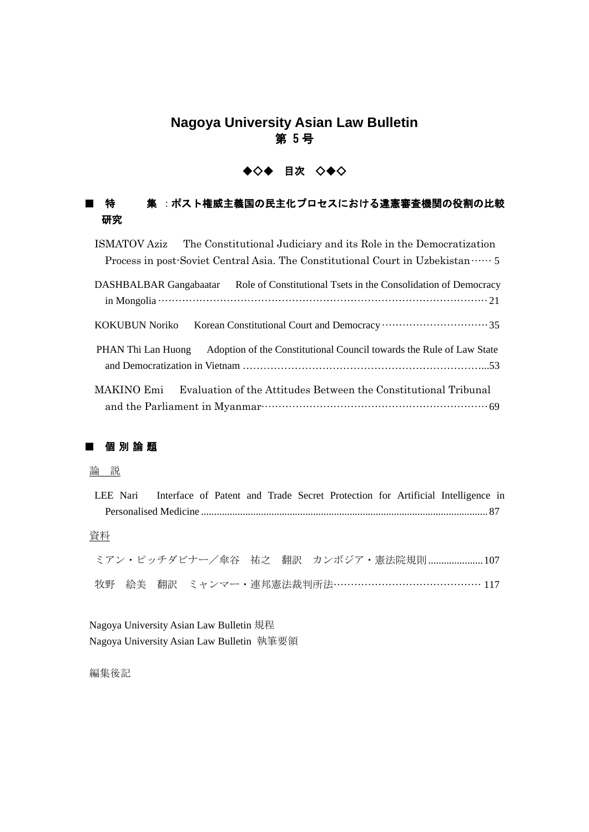## **Nagoya University Asian Law Bulletin** 第 5号

# ◆◇◆ 目次 ◇◆◇

#### 集 : ポスト権威主義国の民主化プロセスにおける違憲審査機関の役割の比較 特 研究

**ISMATOV Aziz** The Constitutional Judiciary and its Role in the Democratization Process in post-Soviet Central Asia. The Constitutional Court in Uzbekistan ...... 5 DASHBALBAR Gangabaatar Role of Constitutional Tsets in the Consolidation of Democracy 

Adoption of the Constitutional Council towards the Rule of Law State PHAN Thi Lan Huong 

Evaluation of the Attitudes Between the Constitutional Tribunal MAKINO Emi 

## 個別論題

**KOKUBUN Noriko** 

### 論説

|    |  | LEE Nari Interface of Patent and Trade Secret Protection for Artificial Intelligence in |  |
|----|--|-----------------------------------------------------------------------------------------|--|
|    |  |                                                                                         |  |
|    |  |                                                                                         |  |
| 資料 |  |                                                                                         |  |
|    |  |                                                                                         |  |
|    |  | ミアン・ピッチダビナー/傘谷 祐之 翻訳 カンボジア・憲法院規則 107                                                    |  |
|    |  | 牧野 絵美 翻訳 ミャンマー・連邦憲法裁判所法…………………………………… 117                                               |  |
|    |  |                                                                                         |  |

Nagoya University Asian Law Bulletin 規程 Nagoya University Asian Law Bulletin 執筆要領

編集後記